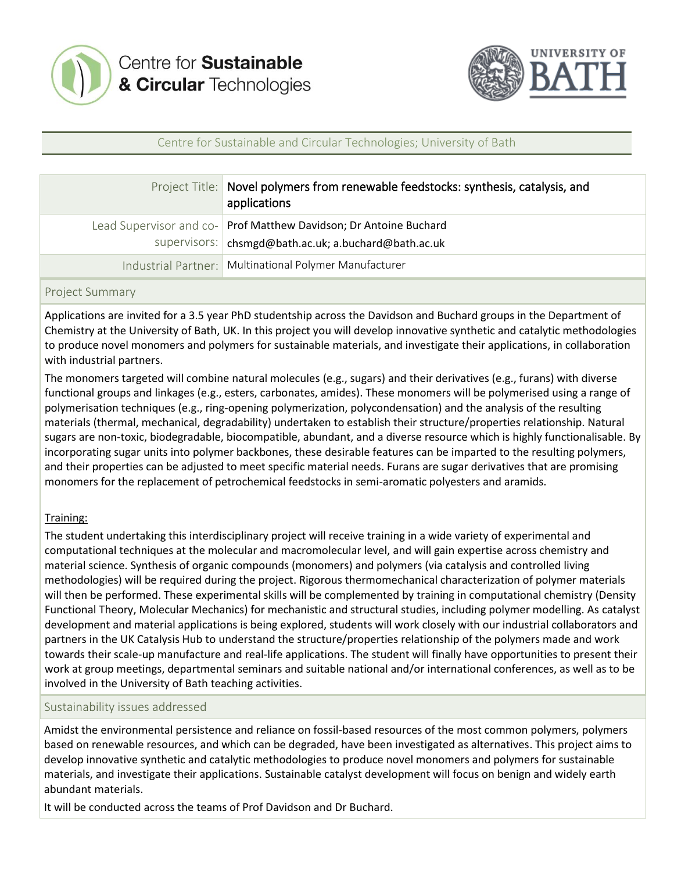



## Centre for Sustainable and Circular Technologies; University of Bath

| Project Title: Novel polymers from renewable feedstocks: synthesis, catalysis, and<br>applications                          |
|-----------------------------------------------------------------------------------------------------------------------------|
| Lead Supervisor and co- Prof Matthew Davidson; Dr Antoine Buchard<br>supervisors:   chsmgd@bath.ac.uk; a.buchard@bath.ac.uk |
| Industrial Partner:   Multinational Polymer Manufacturer                                                                    |

#### Project Summary

Applications are invited for a 3.5 year PhD studentship across the Davidson and Buchard groups in the Department of Chemistry at the University of Bath, UK. In this project you will develop innovative synthetic and catalytic methodologies to produce novel monomers and polymers for sustainable materials, and investigate their applications, in collaboration with industrial partners.

The monomers targeted will combine natural molecules (e.g., sugars) and their derivatives (e.g., furans) with diverse functional groups and linkages (e.g., esters, carbonates, amides). These monomers will be polymerised using a range of polymerisation techniques (e.g., ring-opening polymerization, polycondensation) and the analysis of the resulting materials (thermal, mechanical, degradability) undertaken to establish their structure/properties relationship. Natural sugars are non-toxic, biodegradable, biocompatible, abundant, and a diverse resource which is highly functionalisable. By incorporating sugar units into polymer backbones, these desirable features can be imparted to the resulting polymers, and their properties can be adjusted to meet specific material needs. Furans are sugar derivatives that are promising monomers for the replacement of petrochemical feedstocks in semi-aromatic polyesters and aramids.

## Training:

The student undertaking this interdisciplinary project will receive training in a wide variety of experimental and computational techniques at the molecular and macromolecular level, and will gain expertise across chemistry and material science. Synthesis of organic compounds (monomers) and polymers (via catalysis and controlled living methodologies) will be required during the project. Rigorous thermomechanical characterization of polymer materials will then be performed. These experimental skills will be complemented by training in computational chemistry (Density Functional Theory, Molecular Mechanics) for mechanistic and structural studies, including polymer modelling. As catalyst development and material applications is being explored, students will work closely with our industrial collaborators and partners in the UK Catalysis Hub to understand the structure/properties relationship of the polymers made and work towards their scale-up manufacture and real-life applications. The student will finally have opportunities to present their work at group meetings, departmental seminars and suitable national and/or international conferences, as well as to be involved in the University of Bath teaching activities.

#### Sustainability issues addressed

Amidst the environmental persistence and reliance on fossil-based resources of the most common polymers, polymers based on renewable resources, and which can be degraded, have been investigated as alternatives. This project aims to develop innovative synthetic and catalytic methodologies to produce novel monomers and polymers for sustainable materials, and investigate their applications. Sustainable catalyst development will focus on benign and widely earth abundant materials.

It will be conducted across the teams of Prof Davidson and Dr Buchard.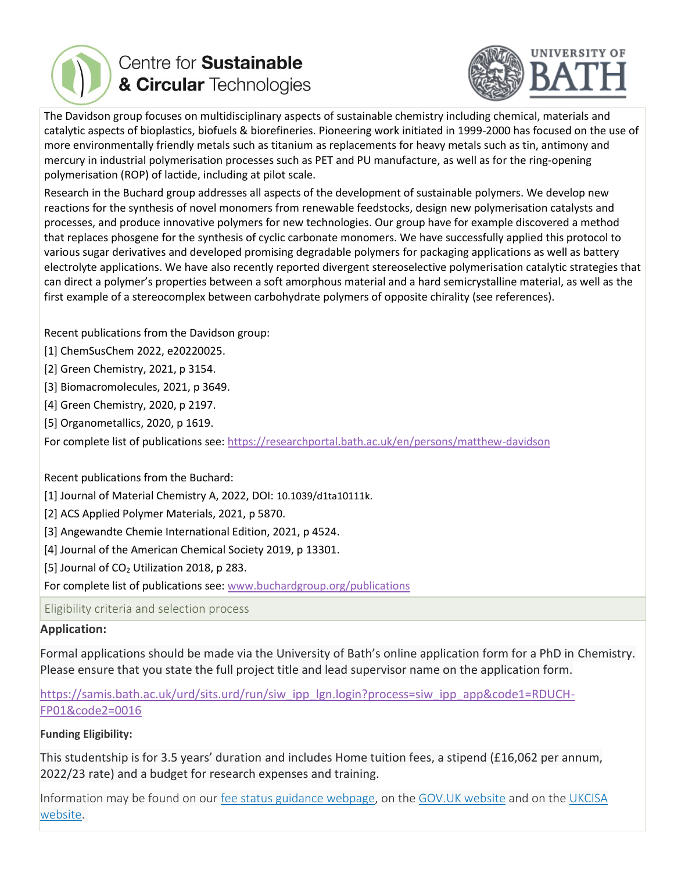

# Centre for **Sustainable** & Circular Technologies



The Davidson group focuses on multidisciplinary aspects of sustainable chemistry including chemical, materials and catalytic aspects of bioplastics, biofuels & biorefineries. Pioneering work initiated in 1999-2000 has focused on the use of more environmentally friendly metals such as titanium as replacements for heavy metals such as tin, antimony and mercury in industrial polymerisation processes such as PET and PU manufacture, as well as for the ring-opening polymerisation (ROP) of lactide, including at pilot scale.

Research in the Buchard group addresses all aspects of the development of sustainable polymers. We develop new reactions for the synthesis of novel monomers from renewable feedstocks, design new polymerisation catalysts and processes, and produce innovative polymers for new technologies. Our group have for example discovered a method that replaces phosgene for the synthesis of cyclic carbonate monomers. We have successfully applied this protocol to various sugar derivatives and developed promising degradable polymers for packaging applications as well as battery electrolyte applications. We have also recently reported divergent stereoselective polymerisation catalytic strategies that can direct a polymer's properties between a soft amorphous material and a hard semicrystalline material, as well as the first example of a stereocomplex between carbohydrate polymers of opposite chirality (see references).

Recent publications from the Davidson group:

[1] ChemSusChem 2022, e20220025.

[2] Green Chemistry, 2021, p 3154.

[3] Biomacromolecules, 2021, p 3649.

[4] Green Chemistry, 2020, p 2197.

[5] Organometallics, 2020, p 1619.

For complete list of publications see[: https://researchportal.bath.ac.uk/en/persons/matthew-davidson](https://researchportal.bath.ac.uk/en/persons/matthew-davidson)

Recent publications from the Buchard:

[1] Journal of Material Chemistry A, 2022, DOI: 10.1039/d1ta10111k.

[2] ACS Applied Polymer Materials, 2021, p 5870.

[3] Angewandte Chemie International Edition, 2021, p 4524.

[4] Journal of the American Chemical Society 2019, p 13301.

[5] Journal of  $CO<sub>2</sub>$  Utilization 2018, p 283.

For complete list of publications see[: www.buchardgroup.org/publications](http://www.buchardgroup.org/publications)

Eligibility criteria and selection process

## **Application:**

Formal applications should be made via the University of Bath's online application form for a PhD in Chemistry. Please ensure that you state the full project title and lead supervisor name on the application form.

[https://samis.bath.ac.uk/urd/sits.urd/run/siw\\_ipp\\_lgn.login?process=siw\\_ipp\\_app&code1=RDUCH-](https://samis.bath.ac.uk/urd/sits.urd/run/siw_ipp_lgn.login?process=siw_ipp_app&code1=RDUCH-FP01&code2=0016)[FP01&code2=0016](https://samis.bath.ac.uk/urd/sits.urd/run/siw_ipp_lgn.login?process=siw_ipp_app&code1=RDUCH-FP01&code2=0016)

## **Funding Eligibility:**

This studentship is for 3.5 years' duration and includes Home tuition fees, a stipend (£16,062 per annum, 2022/23 rate) and a budget for research expenses and training.

Information may be found on our [fee status guidance webpage,](https://www.findaphd.com/common/clickCount.aspx?theid=132722&type=184&DID=72&url=https%3a%2f%2fwww.bath.ac.uk%2fguides%2funderstanding-your-tuition-fee-status%2f) on the [GOV.UK website](https://www.findaphd.com/common/clickCount.aspx?theid=132722&type=184&DID=72&url=https%3a%2f%2fwww.gov.uk%2fguidance%2fstudying-in-the-uk-guidance-for-eu-students) and on the [UKCISA](https://www.findaphd.com/common/clickCount.aspx?theid=132722&type=184&DID=72&url=https%3a%2f%2fwww.ukcisa.org.uk%2fInformation--Advice%2fFees-and-Money%2fEngland-fee-status)  [website.](https://www.findaphd.com/common/clickCount.aspx?theid=132722&type=184&DID=72&url=https%3a%2f%2fwww.ukcisa.org.uk%2fInformation--Advice%2fFees-and-Money%2fEngland-fee-status)